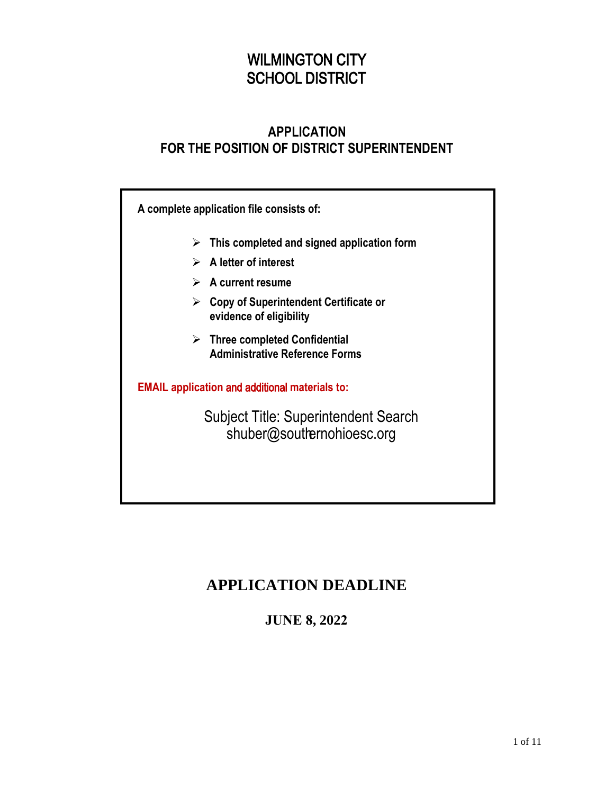# WILMINGTON CITY SCHOOL DISTRICT

### **APPLICATION FOR THE POSITION OF DISTRICT SUPERINTENDENT**

**A complete application file consists of:**

- **This completed and signed application form**
- **A letter of interest**
- **A current resume**
- **Copy of Superintendent Certificate or evidence of eligibility**
- **Three completed Confidential Administrative Reference Forms**

**EMAIL application** and additional **materials to:**

Subject Title: Superintendent Search shuber@southernohioesc.org

# **APPLICATION DEADLINE**

**JUNE 8, 2022**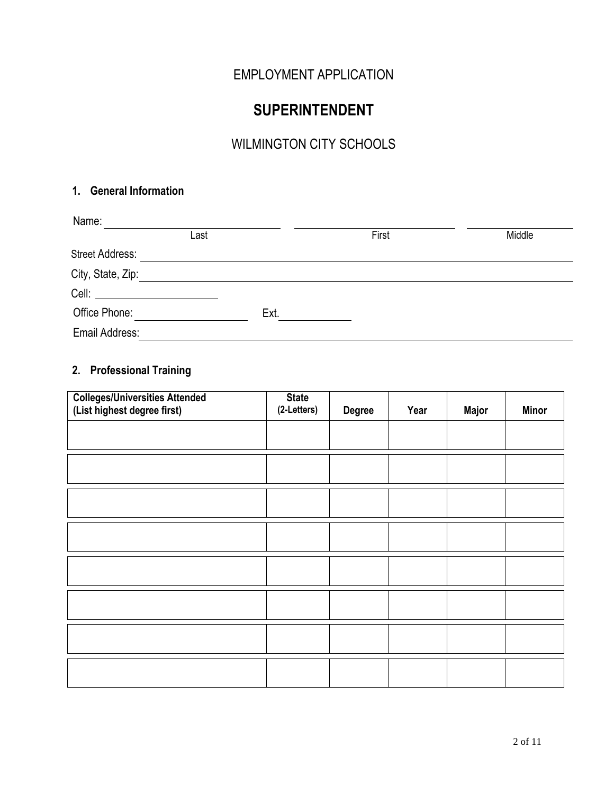## EMPLOYMENT APPLICATION

# **SUPERINTENDENT**

# WILMINGTON CITY SCHOOLS

#### **1. General Information**

| Name:                  |      |      |       |        |
|------------------------|------|------|-------|--------|
|                        | Last |      | First | Middle |
| <b>Street Address:</b> |      |      |       |        |
| City, State, Zip:      |      |      |       |        |
|                        |      |      |       |        |
| Office Phone:          |      | Ext. |       |        |
| Email Address:         |      |      |       |        |

### **2. Professional Training**

| <b>Colleges/Universities Attended</b><br>(List highest degree first) | <b>State</b><br>(2-Letters) | <b>Degree</b> | Year | <b>Major</b> | <b>Minor</b> |
|----------------------------------------------------------------------|-----------------------------|---------------|------|--------------|--------------|
|                                                                      |                             |               |      |              |              |
|                                                                      |                             |               |      |              |              |
|                                                                      |                             |               |      |              |              |
|                                                                      |                             |               |      |              |              |
|                                                                      |                             |               |      |              |              |
|                                                                      |                             |               |      |              |              |
|                                                                      |                             |               |      |              |              |
|                                                                      |                             |               |      |              |              |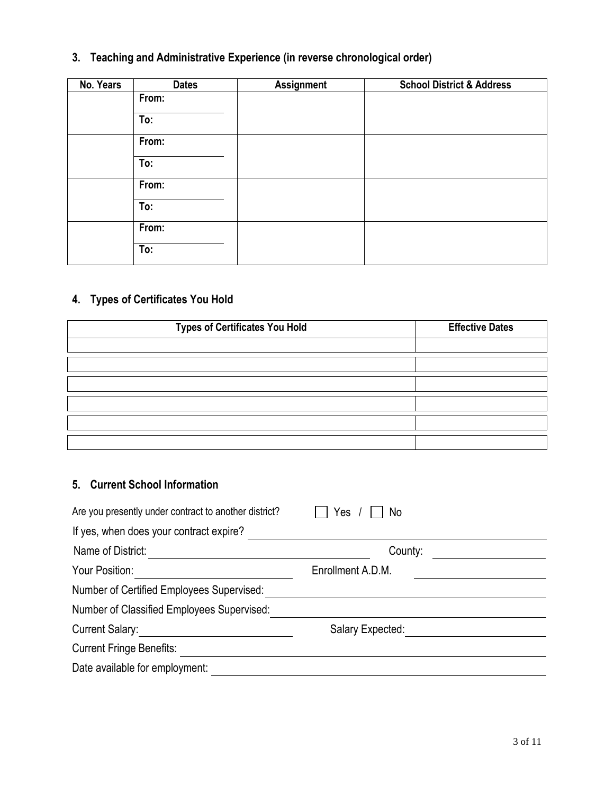# **3. Teaching and Administrative Experience (in reverse chronological order)**

| No. Years | <b>Dates</b> | <b>Assignment</b> | <b>School District &amp; Address</b> |
|-----------|--------------|-------------------|--------------------------------------|
|           | From:        |                   |                                      |
|           | To:          |                   |                                      |
|           | From:        |                   |                                      |
|           | To:          |                   |                                      |
|           | From:        |                   |                                      |
|           | To:          |                   |                                      |
|           | From:        |                   |                                      |
|           | To:          |                   |                                      |

### **4. Types of Certificates You Hold**

| <b>Types of Certificates You Hold</b> | <b>Effective Dates</b> |
|---------------------------------------|------------------------|
|                                       |                        |
|                                       |                        |
|                                       |                        |
|                                       |                        |
|                                       |                        |
|                                       |                        |

#### **5. Current School Information**

| Are you presently under contract to another district? | Yes<br>No         |
|-------------------------------------------------------|-------------------|
| If yes, when does your contract expire?               |                   |
| Name of District:                                     | County:           |
| Your Position:                                        | Enrollment A.D.M. |
| Number of Certified Employees Supervised:             |                   |
| Number of Classified Employees Supervised:            |                   |
| <b>Current Salary:</b>                                | Salary Expected:  |
| <b>Current Fringe Benefits:</b>                       |                   |
| Date available for employment:                        |                   |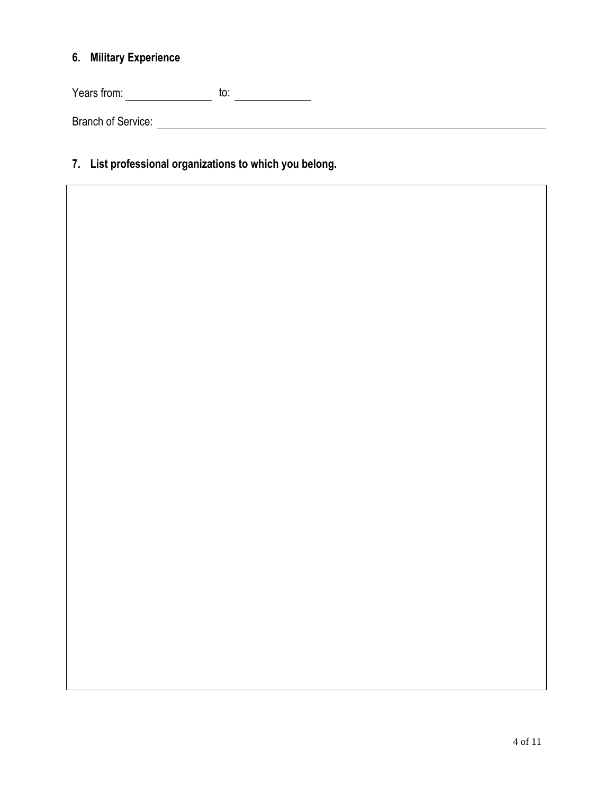#### **6. Military Experience**

 $Years from:$  to:  $\overline{\qquad \qquad}$  to:  $\overline{\qquad \qquad}$ 

Branch of Service:

### **7. List professional organizations to which you belong.**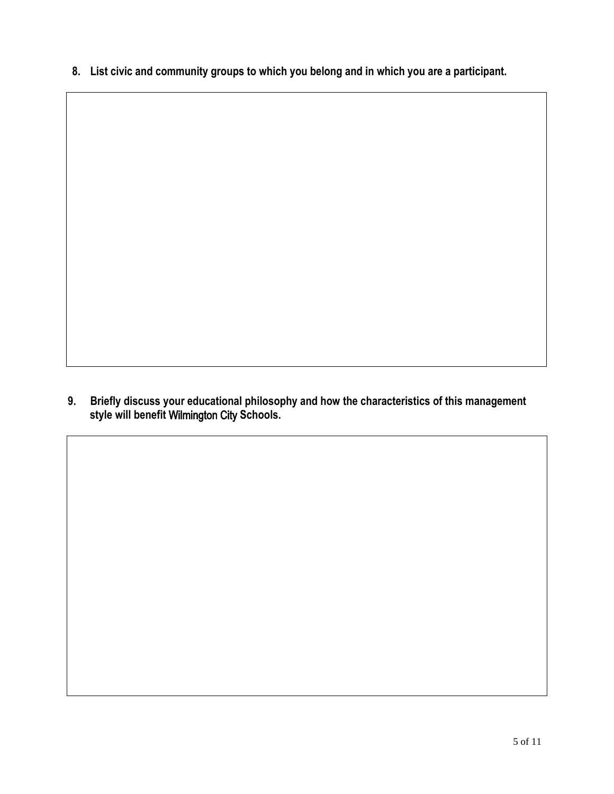**8. List civic and community groups to which you belong and in which you are a participant.**

**9. Briefly discuss your educational philosophy and how the characteristics of this management style will benefit** Wilmington City **Schools.**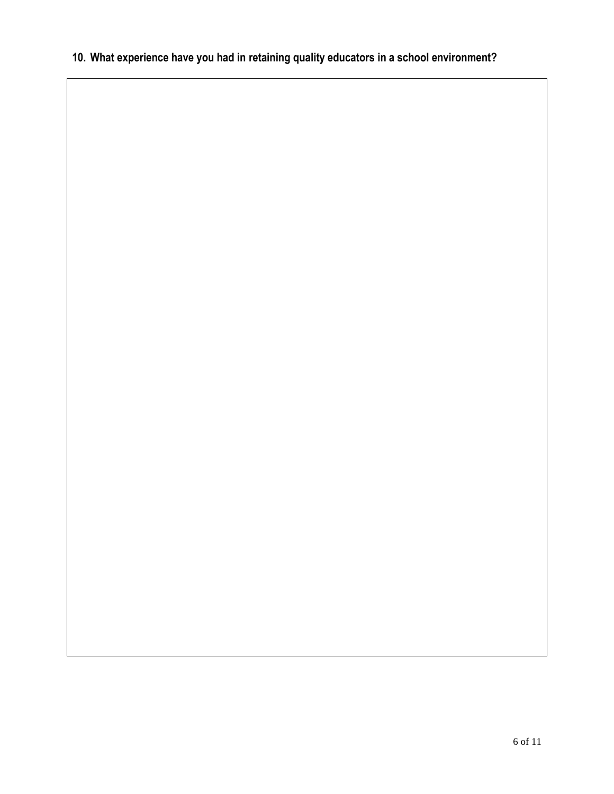### **10. What experience have you had in retaining quality educators in a school environment?**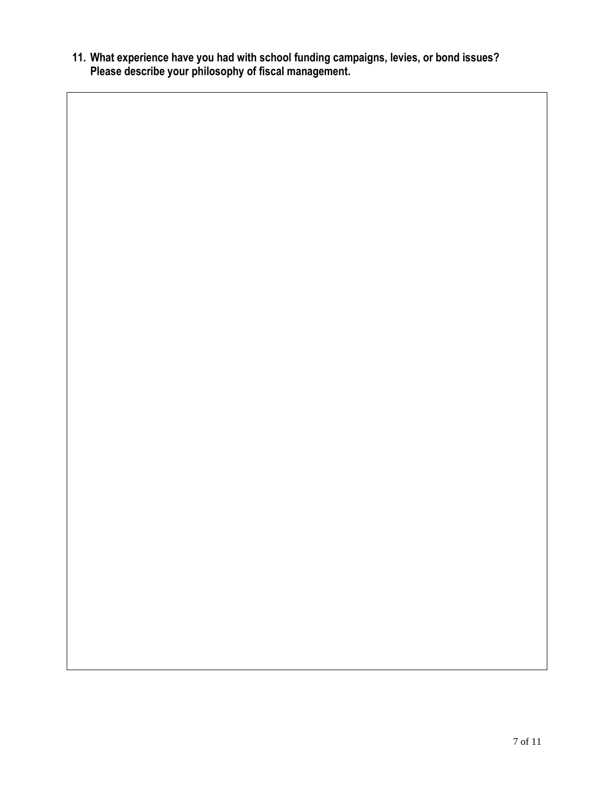**11. What experience have you had with school funding campaigns, levies, or bond issues? Please describe your philosophy of fiscal management.**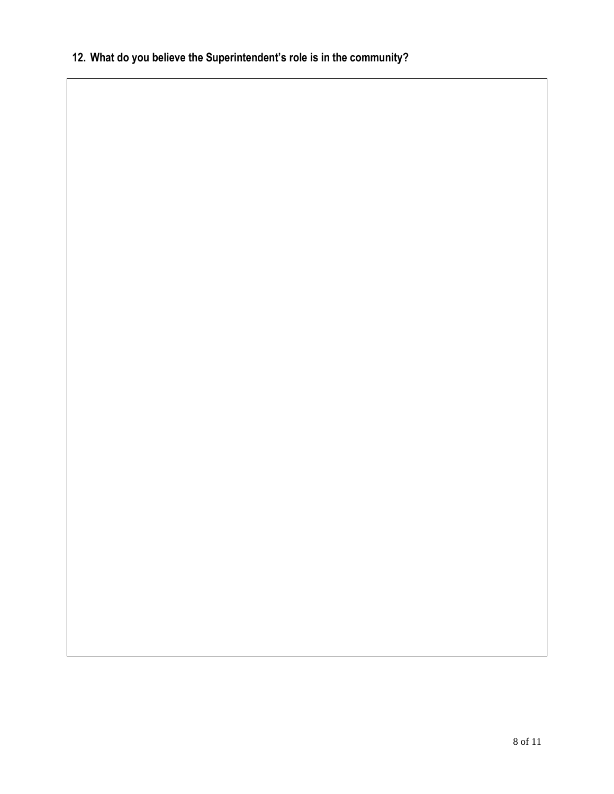# **12. What do you believe the Superintendent's role is in the community?**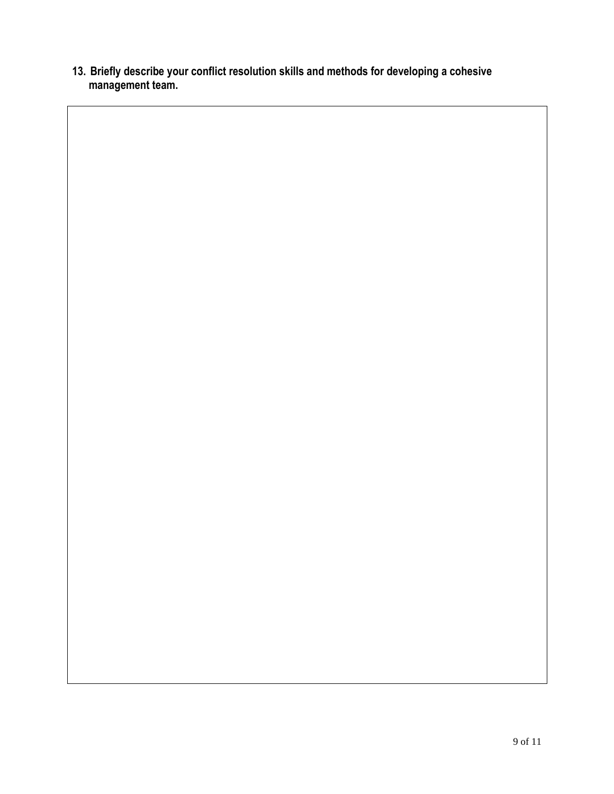**13. Briefly describe your conflict resolution skills and methods for developing a cohesive management team.**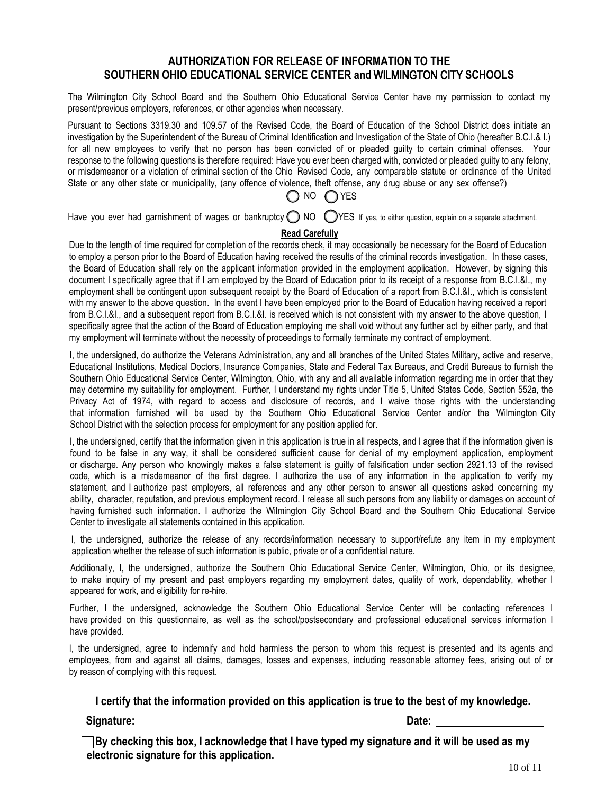#### **AUTHORIZATION FOR RELEASE OF INFORMATION TO THE SOUTHERN OHIO EDUCATIONAL SERVICE CENTER and** WILMINGTON CITY **SCHOOLS**

The Wilmington City School Board and the Southern Ohio Educational Service Center have my permission to contact my present/previous employers, references, or other agencies when necessary.

Pursuant to Sections 3319.30 and 109.57 of the Revised Code, the Board of Education of the School District does initiate an investigation by the Superintendent of the Bureau of Criminal Identification and Investigation of the State of Ohio (hereafter B.C.I.& I.) for all new employees to verify that no person has been convicted of or pleaded guilty to certain criminal offenses. Your response to the following questions is therefore required: Have you ever been charged with, convicted or pleaded guilty to any felony, or misdemeanor or a violation of criminal section of the Ohio Revised Code, any comparable statute or ordinance of the United State or any other state or municipality, (any offence of violence, theft offense, any drug abuse or any sex offense?)

# $\bigcap$  NO  $\bigcap$  YES

Have you ever had garnishment of wages or bankruptcy  $\bigcirc$  NO  $\bigcirc$ YES if yes, to either question, explain on a separate attachment.

#### **Read Carefully**

Due to the length of time required for completion of the records check, it may occasionally be necessary for the Board of Education to employ a person prior to the Board of Education having received the results of the criminal records investigation. In these cases, the Board of Education shall rely on the applicant information provided in the employment application. However, by signing this document I specifically agree that if I am employed by the Board of Education prior to its receipt of a response from B.C.I.&I., my employment shall be contingent upon subsequent receipt by the Board of Education of a report from B.C.I.&I., which is consistent with my answer to the above question. In the event I have been employed prior to the Board of Education having received a report from B.C.I.&I., and a subsequent report from B.C.I.&I. is received which is not consistent with my answer to the above question, I specifically agree that the action of the Board of Education employing me shall void without any further act by either party, and that my employment will terminate without the necessity of proceedings to formally terminate my contract of employment.

I, the undersigned, do authorize the Veterans Administration, any and all branches of the United States Military, active and reserve, Educational Institutions, Medical Doctors, Insurance Companies, State and Federal Tax Bureaus, and Credit Bureaus to furnish the Southern Ohio Educational Service Center, Wilmington, Ohio, with any and all available information regarding me in order that they may determine my suitability for employment. Further, I understand my rights under Title 5, United States Code, Section 552a, the Privacy Act of 1974, with regard to access and disclosure of records, and I waive those rights with the understanding that information furnished will be used by the Southern Ohio Educational Service Center and/or the Wilmington City School District with the selection process for employment for any position applied for.

I, the undersigned, certify that the information given in this application is true in all respects, and I agree that if the information given is found to be false in any way, it shall be considered sufficient cause for denial of my employment application, employment or discharge. Any person who knowingly makes a false statement is guilty of falsification under section 2921.13 of the revised code, which is a misdemeanor of the first degree. I authorize the use of any information in the application to verify my statement, and I authorize past employers, all references and any other person to answer all questions asked concerning my ability, character, reputation, and previous employment record. I release all such persons from any liability or damages on account of having furnished such information. I authorize the Wilmington City School Board and the Southern Ohio Educational Service Center to investigate all statements contained in this application.

I, the undersigned, authorize the release of any records/information necessary to support/refute any item in my employment application whether the release of such information is public, private or of a confidential nature.

Additionally, I, the undersigned, authorize the Southern Ohio Educational Service Center, Wilmington, Ohio, or its designee, to make inquiry of my present and past employers regarding my employment dates, quality of work, dependability, whether I appeared for work, and eligibility for re-hire.

Further, I the undersigned, acknowledge the Southern Ohio Educational Service Center will be contacting references I have provided on this questionnaire, as well as the school/postsecondary and professional educational services information I have provided.

I, the undersigned, agree to indemnify and hold harmless the person to whom this request is presented and its agents and employees, from and against all claims, damages, losses and expenses, including reasonable attorney fees, arising out of or by reason of complying with this request.

**I certify that the information provided on this application is true to the best of my knowledge.** 

**Signature:** Date:

**By checking this box, I acknowledge that I have typed my signature and it will be used as my electronic signature for this application.**